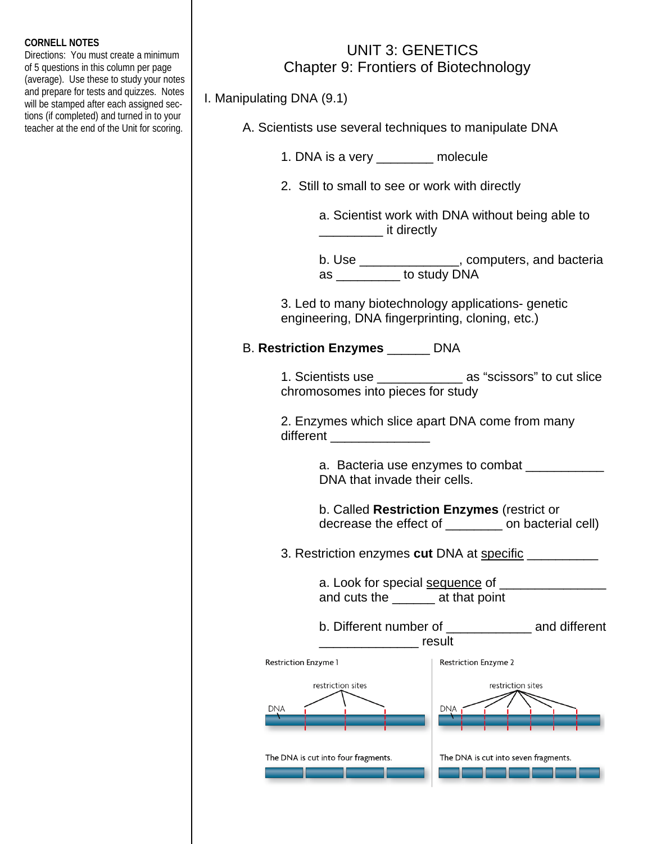## **CORNELL NOTES**

Directions: You must create a minimum of 5 questions in this column per page (average). Use these to study your notes and prepare for tests and quizzes. Notes will be stamped after each assigned sections (if completed) and turned in to your teacher at the end of the Unit for scoring.

## UNIT 3: GENETICS Chapter 9: Frontiers of Biotechnology

I. Manipulating DNA (9.1)

| A. Scientists use several techniques to manipulate DNA |
|--------------------------------------------------------|
|--------------------------------------------------------|

1. DNA is a very \_\_\_\_\_\_\_\_ molecule

2. Still to small to see or work with directly

 a. Scientist work with DNA without being able to **\_\_\_\_\_\_\_\_\_\_\_\_\_\_\_\_\_ it directly** 

| b. Use | , computers, and bacteria |
|--------|---------------------------|
| as     | to study DNA              |

 3. Led to many biotechnology applications- genetic engineering, DNA fingerprinting, cloning, etc.)

## B. **Restriction Enzymes** \_\_\_\_\_\_ DNA

 1. Scientists use \_\_\_\_\_\_\_\_\_\_\_\_ as "scissors" to cut slice chromosomes into pieces for study

 2. Enzymes which slice apart DNA come from many different \_\_\_\_\_\_\_\_\_\_\_\_\_\_

> a. Bacteria use enzymes to combat DNA that invade their cells.

 b. Called **Restriction Enzymes** (restrict or decrease the effect of \_\_\_\_\_\_\_\_ on bacterial cell)

3. Restriction enzymes **cut** DNA at specific \_\_\_\_\_\_\_\_\_\_

a. Look for special sequence of **example 20** and cuts the \_\_\_\_\_\_ at that point

 b. Different number of \_\_\_\_\_\_\_\_\_\_\_\_ and different \_\_\_\_\_\_\_\_\_\_\_\_\_\_ result

| <b>Restriction Enzyme 1</b>         | <b>Restriction Enzyme 2</b>          |  |
|-------------------------------------|--------------------------------------|--|
| restriction sites<br><b>DNA</b>     | restriction sites<br><b>DNA</b>      |  |
| The DNA is cut into four fragments. | The DNA is cut into seven fragments. |  |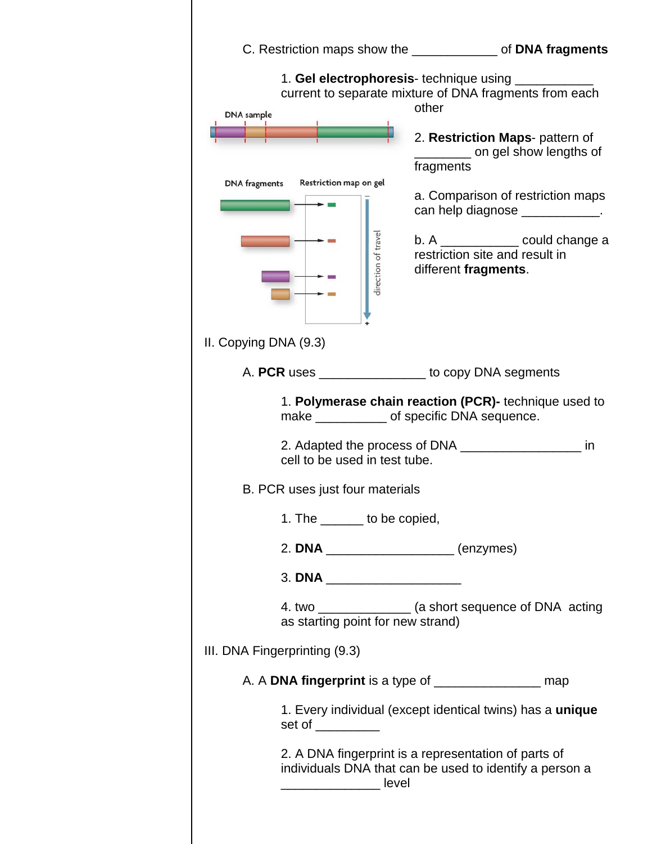|                                                                                            | C. Restriction maps show the <u>contained and of</u> <b>DNA fragments</b>                                                                                                                                                                                                                                                                                                             |
|--------------------------------------------------------------------------------------------|---------------------------------------------------------------------------------------------------------------------------------------------------------------------------------------------------------------------------------------------------------------------------------------------------------------------------------------------------------------------------------------|
| <b>DNA</b> sample<br>Restriction map on gel<br><b>DNA</b> fragments<br>direction of travel | 1. Gel electrophoresis- technique using ________<br>current to separate mixture of DNA fragments from each<br>other<br>2. Restriction Maps- pattern of<br>___________ on gel show lengths of<br>fragments<br>a. Comparison of restriction maps<br>can help diagnose ____________.<br>$b. A$ ________________ could change a<br>restriction site and result in<br>different fragments. |
| II. Copying DNA (9.3)                                                                      |                                                                                                                                                                                                                                                                                                                                                                                       |
| A. PCR uses _______________ to copy DNA segments                                           |                                                                                                                                                                                                                                                                                                                                                                                       |
| cell to be used in test tube.<br>B. PCR uses just four materials                           | 1. Polymerase chain reaction (PCR)- technique used to<br>make _______________ of specific DNA sequence.<br>in                                                                                                                                                                                                                                                                         |
| 1. The _______ to be copied,                                                               |                                                                                                                                                                                                                                                                                                                                                                                       |
| 2. DNA ______________________(enzymes)                                                     |                                                                                                                                                                                                                                                                                                                                                                                       |
| 3. DNA _____________________                                                               |                                                                                                                                                                                                                                                                                                                                                                                       |
| as starting point for new strand)                                                          | 4. two _______________ (a short sequence of DNA acting                                                                                                                                                                                                                                                                                                                                |
| III. DNA Fingerprinting (9.3)                                                              |                                                                                                                                                                                                                                                                                                                                                                                       |
| A. A DNA fingerprint is a type of ________________________ map                             |                                                                                                                                                                                                                                                                                                                                                                                       |
| set of _________                                                                           | 1. Every individual (except identical twins) has a unique                                                                                                                                                                                                                                                                                                                             |
|                                                                                            | 2. A DNA fingerprint is a representation of parts of<br>individuals DNA that can be used to identify a person a                                                                                                                                                                                                                                                                       |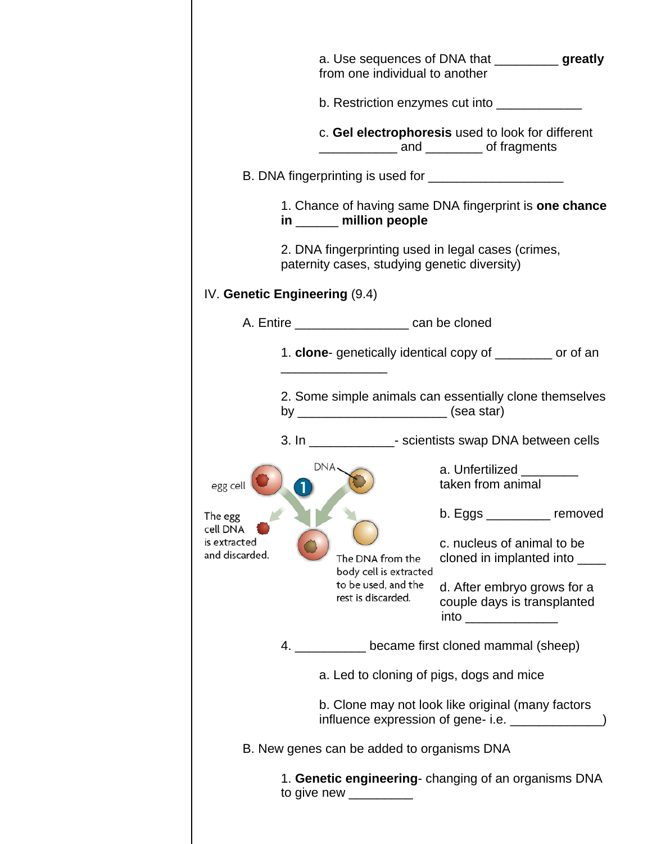|                                                       |     | from one individual to another                                                                                                                                                                                                                                                     | a. Use sequences of DNA that _____________ greatly                                                                                                            |
|-------------------------------------------------------|-----|------------------------------------------------------------------------------------------------------------------------------------------------------------------------------------------------------------------------------------------------------------------------------------|---------------------------------------------------------------------------------------------------------------------------------------------------------------|
|                                                       |     |                                                                                                                                                                                                                                                                                    | b. Restriction enzymes cut into ________________                                                                                                              |
|                                                       |     |                                                                                                                                                                                                                                                                                    | c. Gel electrophoresis used to look for different<br>and ________ of fragments                                                                                |
|                                                       |     |                                                                                                                                                                                                                                                                                    |                                                                                                                                                               |
|                                                       |     | in _____ million people                                                                                                                                                                                                                                                            | 1. Chance of having same DNA fingerprint is one chance                                                                                                        |
|                                                       |     | paternity cases, studying genetic diversity)                                                                                                                                                                                                                                       | 2. DNA fingerprinting used in legal cases (crimes,                                                                                                            |
| IV. Genetic Engineering (9.4)                         |     |                                                                                                                                                                                                                                                                                    |                                                                                                                                                               |
|                                                       |     | A. Entire ______________________ can be cloned                                                                                                                                                                                                                                     |                                                                                                                                                               |
|                                                       |     |                                                                                                                                                                                                                                                                                    | 1. clone- genetically identical copy of ________ or of an                                                                                                     |
|                                                       |     |                                                                                                                                                                                                                                                                                    | 2. Some simple animals can essentially clone themselves                                                                                                       |
|                                                       |     |                                                                                                                                                                                                                                                                                    | 3. In _______________- scientists swap DNA between cells                                                                                                      |
| egg cell                                              | DNA |                                                                                                                                                                                                                                                                                    | a. Unfertilized<br>taken from animal                                                                                                                          |
| The egg<br>cell DNA<br>is extracted<br>and discarded. |     | The DNA from the<br>body cell is extracted<br>to be used, and the<br>rest is discarded.                                                                                                                                                                                            | $b. Eggs$ _____________ removed<br>c. nucleus of animal to be<br>cloned in implanted into _____<br>d. After embryo grows for a<br>couple days is transplanted |
|                                                       |     |                                                                                                                                                                                                                                                                                    | 4. ____________ became first cloned mammal (sheep)                                                                                                            |
|                                                       |     |                                                                                                                                                                                                                                                                                    | a. Led to cloning of pigs, dogs and mice                                                                                                                      |
|                                                       |     |                                                                                                                                                                                                                                                                                    | b. Clone may not look like original (many factors                                                                                                             |
|                                                       |     | B. New genes can be added to organisms DNA                                                                                                                                                                                                                                         |                                                                                                                                                               |
|                                                       |     | to give new $\frac{1}{2}$ mass to give new $\frac{1}{2}$ mass $\frac{1}{2}$ mass $\frac{1}{2}$ mass $\frac{1}{2}$ mass $\frac{1}{2}$ mass $\frac{1}{2}$ mass $\frac{1}{2}$ mass $\frac{1}{2}$ mass $\frac{1}{2}$ mass $\frac{1}{2}$ mass $\frac{1}{2}$ mass $\frac{1}{2}$ mass $\$ | 1. Genetic engineering-changing of an organisms DNA                                                                                                           |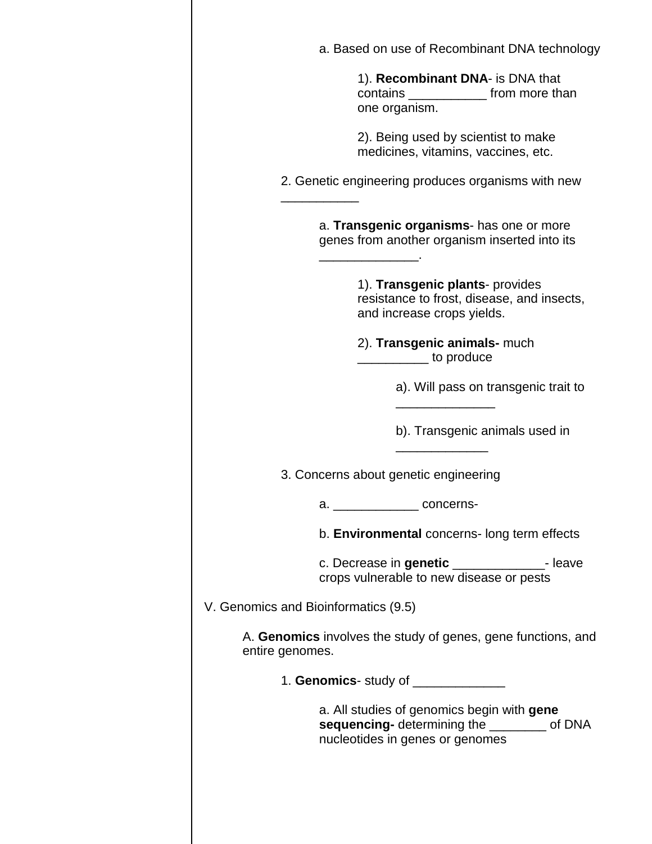|                                      | a. Based on use of Recombinant DNA technology                                                                                |
|--------------------------------------|------------------------------------------------------------------------------------------------------------------------------|
|                                      | 1). Recombinant DNA- is DNA that<br>contains _______________ from more than<br>one organism.                                 |
|                                      | 2). Being used by scientist to make<br>medicines, vitamins, vaccines, etc.                                                   |
|                                      | 2. Genetic engineering produces organisms with new                                                                           |
|                                      | a. Transgenic organisms- has one or more<br>genes from another organism inserted into its                                    |
|                                      | 1). Transgenic plants- provides<br>resistance to frost, disease, and insects,<br>and increase crops yields.                  |
|                                      | 2). Transgenic animals- much<br><u>Les manueles</u> to produce                                                               |
|                                      | a). Will pass on transgenic trait to                                                                                         |
|                                      | b). Transgenic animals used in                                                                                               |
|                                      | 3. Concerns about genetic engineering                                                                                        |
|                                      | a. __________________ concerns-                                                                                              |
|                                      | b. Environmental concerns- long term effects                                                                                 |
|                                      | c. Decrease in genetic _______________- leave<br>crops vulnerable to new disease or pests                                    |
| V. Genomics and Bioinformatics (9.5) |                                                                                                                              |
| entire genomes.                      | A. Genomics involves the study of genes, gene functions, and                                                                 |
|                                      | 1. Genomics- study of ______________                                                                                         |
|                                      | a. All studies of genomics begin with gene<br>sequencing- determining the ________ of DNA<br>nucleotides in genes or genomes |
|                                      |                                                                                                                              |